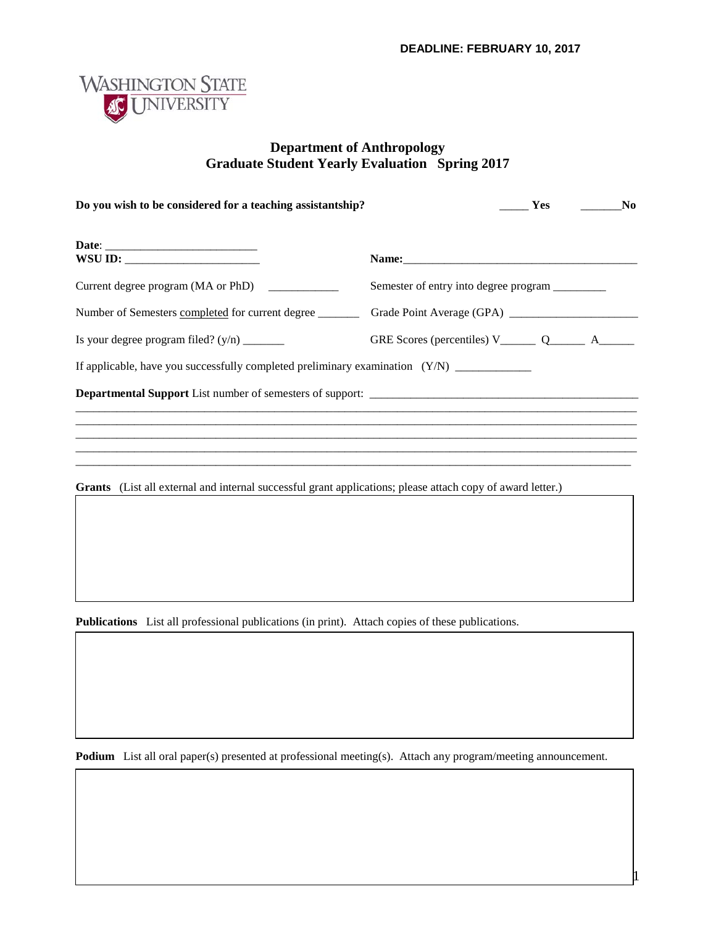1



## **Department of Anthropology Graduate Student Yearly Evaluation Spring 2017**

| WSU ID: $\qquad \qquad$                       |                                                         |
|-----------------------------------------------|---------------------------------------------------------|
| Current degree program (MA or PhD) __________ | Semester of entry into degree program _________         |
|                                               |                                                         |
|                                               | GRE Scores (percentiles) V_________ Q_________ A_______ |
|                                               |                                                         |
|                                               |                                                         |
|                                               |                                                         |
|                                               |                                                         |

**Publications** List all professional publications (in print). Attach copies of these publications.

**Podium** List all oral paper(s) presented at professional meeting(s). Attach any program/meeting announcement.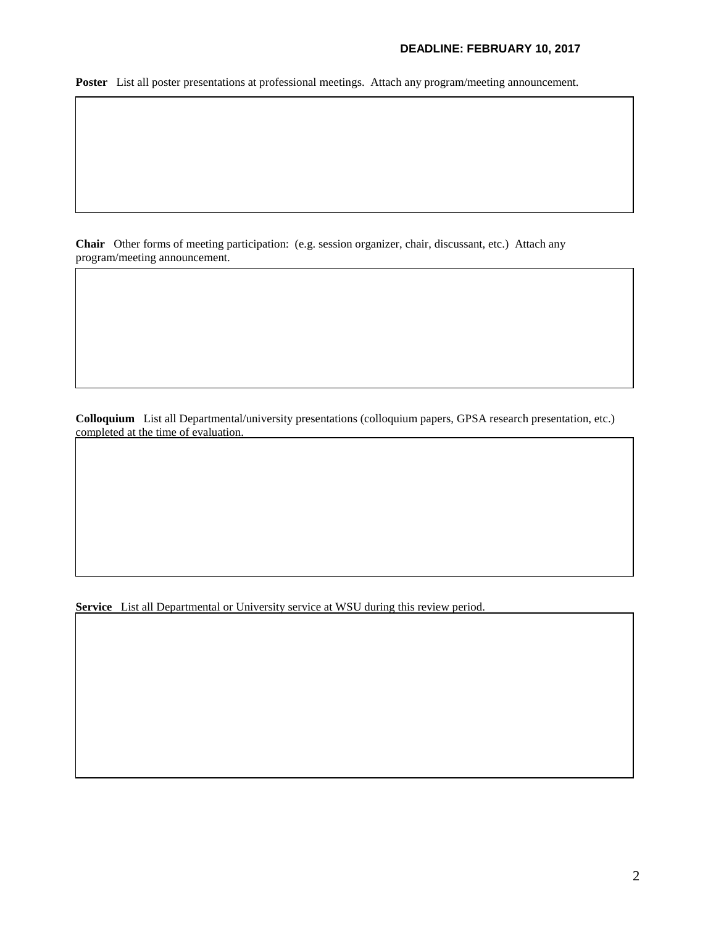## **DEADLINE: FEBRUARY 10, 2017**

**Poster** List all poster presentations at professional meetings. Attach any program/meeting announcement.

**Chair** Other forms of meeting participation: (e.g. session organizer, chair, discussant, etc.) Attach any program/meeting announcement.

**Colloquium** List all Departmental/university presentations (colloquium papers, GPSA research presentation, etc.) completed at the time of evaluation.

**Service** List all Departmental or University service at WSU during this review period.